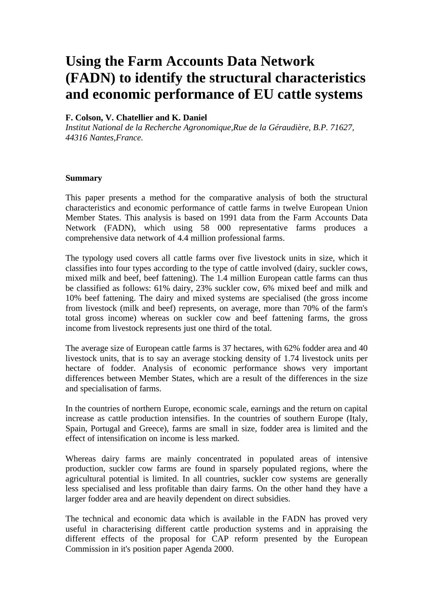# **Using the Farm Accounts Data Network (FADN) to identify the structural characteristics and economic performance of EU cattle systems**

## **F. Colson, V. Chatellier and K. Daniel**

*Institut National de la Recherche Agronomique,Rue de la Géraudière, B.P. 71627, 44316 Nantes,France.*

#### **Summary**

This paper presents a method for the comparative analysis of both the structural characteristics and economic performance of cattle farms in twelve European Union Member States. This analysis is based on 1991 data from the Farm Accounts Data Network (FADN), which using 58 000 representative farms produces a comprehensive data network of 4.4 million professional farms.

The typology used covers all cattle farms over five livestock units in size, which it classifies into four types according to the type of cattle involved (dairy, suckler cows, mixed milk and beef, beef fattening). The 1.4 million European cattle farms can thus be classified as follows: 61% dairy, 23% suckler cow, 6% mixed beef and milk and 10% beef fattening. The dairy and mixed systems are specialised (the gross income from livestock (milk and beef) represents, on average, more than 70% of the farm's total gross income) whereas on suckler cow and beef fattening farms, the gross income from livestock represents just one third of the total.

The average size of European cattle farms is 37 hectares, with 62% fodder area and 40 livestock units, that is to say an average stocking density of 1.74 livestock units per hectare of fodder. Analysis of economic performance shows very important differences between Member States, which are a result of the differences in the size and specialisation of farms.

In the countries of northern Europe, economic scale, earnings and the return on capital increase as cattle production intensifies. In the countries of southern Europe (Italy, Spain, Portugal and Greece), farms are small in size, fodder area is limited and the effect of intensification on income is less marked.

Whereas dairy farms are mainly concentrated in populated areas of intensive production, suckler cow farms are found in sparsely populated regions, where the agricultural potential is limited. In all countries, suckler cow systems are generally less specialised and less profitable than dairy farms. On the other hand they have a larger fodder area and are heavily dependent on direct subsidies.

The technical and economic data which is available in the FADN has proved very useful in characterising different cattle production systems and in appraising the different effects of the proposal for CAP reform presented by the European Commission in it's position paper Agenda 2000.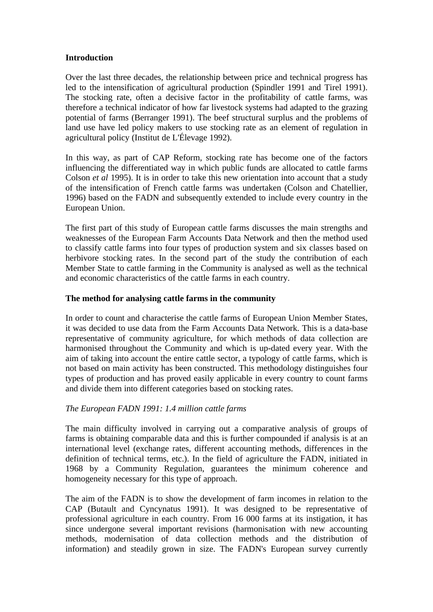## **Introduction**

Over the last three decades, the relationship between price and technical progress has led to the intensification of agricultural production (Spindler 1991 and Tirel 1991). The stocking rate, often a decisive factor in the profitability of cattle farms, was therefore a technical indicator of how far livestock systems had adapted to the grazing potential of farms (Berranger 1991). The beef structural surplus and the problems of land use have led policy makers to use stocking rate as an element of regulation in agricultural policy (Institut de L'Élevage 1992).

In this way, as part of CAP Reform, stocking rate has become one of the factors influencing the differentiated way in which public funds are allocated to cattle farms Colson *et al* 1995). It is in order to take this new orientation into account that a study of the intensification of French cattle farms was undertaken (Colson and Chatellier, 1996) based on the FADN and subsequently extended to include every country in the European Union.

The first part of this study of European cattle farms discusses the main strengths and weaknesses of the European Farm Accounts Data Network and then the method used to classify cattle farms into four types of production system and six classes based on herbivore stocking rates. In the second part of the study the contribution of each Member State to cattle farming in the Community is analysed as well as the technical and economic characteristics of the cattle farms in each country.

# **The method for analysing cattle farms in the community**

In order to count and characterise the cattle farms of European Union Member States, it was decided to use data from the Farm Accounts Data Network. This is a data-base representative of community agriculture, for which methods of data collection are harmonised throughout the Community and which is up-dated every year. With the aim of taking into account the entire cattle sector, a typology of cattle farms, which is not based on main activity has been constructed. This methodology distinguishes four types of production and has proved easily applicable in every country to count farms and divide them into different categories based on stocking rates.

# *The European FADN 1991: 1.4 million cattle farms*

The main difficulty involved in carrying out a comparative analysis of groups of farms is obtaining comparable data and this is further compounded if analysis is at an international level (exchange rates, different accounting methods, differences in the definition of technical terms, etc.). In the field of agriculture the FADN, initiated in 1968 by a Community Regulation, guarantees the minimum coherence and homogeneity necessary for this type of approach.

The aim of the FADN is to show the development of farm incomes in relation to the CAP (Butault and Cyncynatus 1991). It was designed to be representative of professional agriculture in each country. From 16 000 farms at its instigation, it has since undergone several important revisions (harmonisation with new accounting methods, modernisation of data collection methods and the distribution of information) and steadily grown in size. The FADN's European survey currently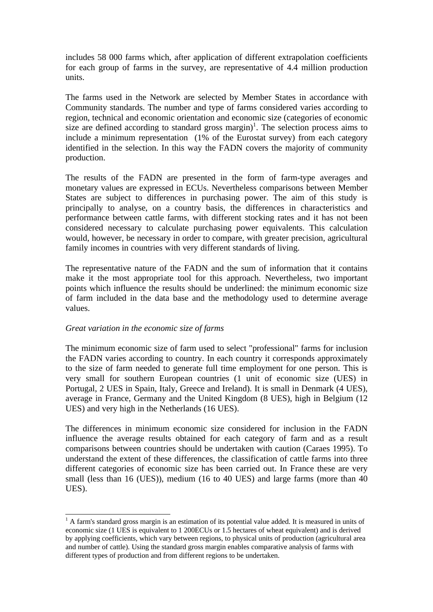includes 58 000 farms which, after application of different extrapolation coefficients for each group of farms in the survey, are representative of 4.4 million production units.

The farms used in the Network are selected by Member States in accordance with Community standards. The number and type of farms considered varies according to region, technical and economic orientation and economic size (categories of economic size are defined according to standard gross margin)<sup>1</sup>. The selection process aims to include a minimum representation (1% of the Eurostat survey) from each category identified in the selection. In this way the FADN covers the majority of community production.

The results of the FADN are presented in the form of farm-type averages and monetary values are expressed in ECUs. Nevertheless comparisons between Member States are subject to differences in purchasing power. The aim of this study is principally to analyse, on a country basis, the differences in characteristics and performance between cattle farms, with different stocking rates and it has not been considered necessary to calculate purchasing power equivalents. This calculation would, however, be necessary in order to compare, with greater precision, agricultural family incomes in countries with very different standards of living.

The representative nature of the FADN and the sum of information that it contains make it the most appropriate tool for this approach. Nevertheless, two important points which influence the results should be underlined: the minimum economic size of farm included in the data base and the methodology used to determine average values.

## *Great variation in the economic size of farms*

 $\overline{a}$ 

The minimum economic size of farm used to select "professional" farms for inclusion the FADN varies according to country. In each country it corresponds approximately to the size of farm needed to generate full time employment for one person. This is very small for southern European countries (1 unit of economic size (UES) in Portugal, 2 UES in Spain, Italy, Greece and Ireland). It is small in Denmark (4 UES), average in France, Germany and the United Kingdom (8 UES), high in Belgium (12 UES) and very high in the Netherlands (16 UES).

The differences in minimum economic size considered for inclusion in the FADN influence the average results obtained for each category of farm and as a result comparisons between countries should be undertaken with caution (Caraes 1995). To understand the extent of these differences, the classification of cattle farms into three different categories of economic size has been carried out. In France these are very small (less than 16 (UES)), medium (16 to 40 UES) and large farms (more than 40 UES).

<sup>&</sup>lt;sup>1</sup> A farm's standard gross margin is an estimation of its potential value added. It is measured in units of economic size (1 UES is equivalent to 1 200ECUs or 1.5 hectares of wheat equivalent) and is derived by applying coefficients, which vary between regions, to physical units of production (agricultural area and number of cattle). Using the standard gross margin enables comparative analysis of farms with different types of production and from different regions to be undertaken.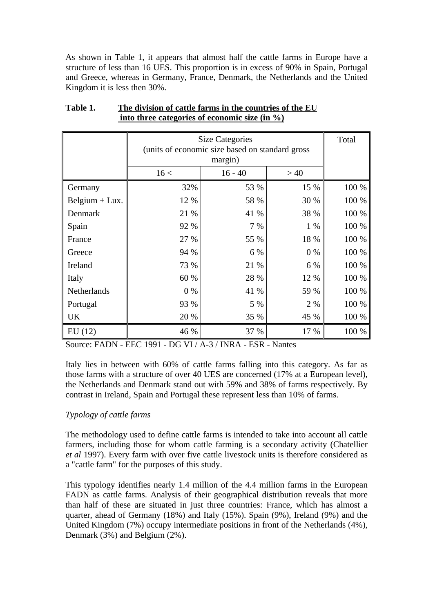As shown in Table 1, it appears that almost half the cattle farms in Europe have a structure of less than 16 UES. This proportion is in excess of 90% in Spain, Portugal and Greece, whereas in Germany, France, Denmark, the Netherlands and the United Kingdom it is less then 30%.

|                  | <b>Size Categories</b><br>(units of economic size based on standard gross | Total            |       |       |
|------------------|---------------------------------------------------------------------------|------------------|-------|-------|
|                  | 16 <                                                                      | >40<br>$16 - 40$ |       |       |
| Germany          | 32%                                                                       | 53 %             | 15 %  | 100 % |
| Belgium $+$ Lux. | 12 %                                                                      | 58 %             | 30 %  | 100 % |
| Denmark          | 21 %                                                                      | 41 %             | 38 %  | 100 % |
| Spain            | 92 %                                                                      | 7 %              | $1\%$ | 100 % |
| France           | 27 %                                                                      | 55 %             | 18 %  | 100 % |
| Greece           | 94 %                                                                      | 6 %              | $0\%$ | 100 % |
| Ireland          | 73 %                                                                      | 21 %             | 6 %   | 100 % |
| Italy            | 60 %                                                                      | 28 %             | 12 %  | 100 % |
| Netherlands      | 0 %                                                                       | 41 %             | 59 %  | 100 % |
| Portugal         | 93 %                                                                      | 5 %              | 2 %   | 100 % |
| UK               | 20 %                                                                      | 35 %             | 45 %  | 100 % |
| EU(12)           | 46 %                                                                      | 37 %             | 17 %  | 100 % |

# **Table 1. The division of cattle farms in the countries of the EU into three categories of economic size (in %)**

Source: FADN - EEC 1991 - DG VI / A-3 / INRA - ESR - Nantes

Italy lies in between with 60% of cattle farms falling into this category. As far as those farms with a structure of over 40 UES are concerned (17% at a European level), the Netherlands and Denmark stand out with 59% and 38% of farms respectively. By contrast in Ireland, Spain and Portugal these represent less than 10% of farms.

# *Typology of cattle farms*

The methodology used to define cattle farms is intended to take into account all cattle farmers, including those for whom cattle farming is a secondary activity (Chatellier *et al* 1997). Every farm with over five cattle livestock units is therefore considered as a "cattle farm" for the purposes of this study.

This typology identifies nearly 1.4 million of the 4.4 million farms in the European FADN as cattle farms. Analysis of their geographical distribution reveals that more than half of these are situated in just three countries: France, which has almost a quarter, ahead of Germany (18%) and Italy (15%). Spain (9%), Ireland (9%) and the United Kingdom (7%) occupy intermediate positions in front of the Netherlands (4%), Denmark (3%) and Belgium (2%).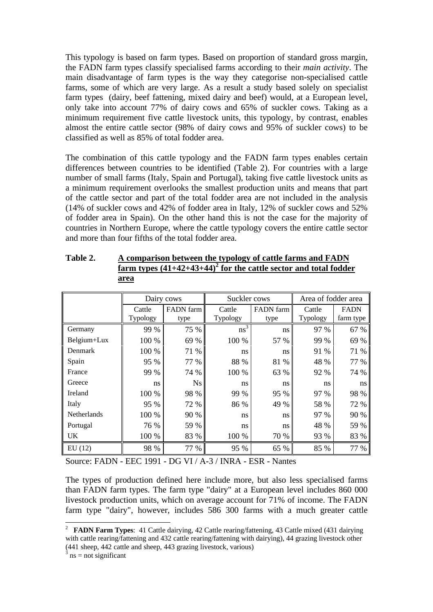This typology is based on farm types. Based on proportion of standard gross margin, the FADN farm types classify specialised farms according to their *main activity*. The main disadvantage of farm types is the way they categorise non-specialised cattle farms, some of which are very large. As a result a study based solely on specialist farm types (dairy, beef fattening, mixed dairy and beef) would, at a European level, only take into account 77% of dairy cows and 65% of suckler cows. Taking as a minimum requirement five cattle livestock units, this typology, by contrast, enables almost the entire cattle sector (98% of dairy cows and 95% of suckler cows) to be classified as well as 85% of total fodder area.

The combination of this cattle typology and the FADN farm types enables certain differences between countries to be identified (Table 2). For countries with a large number of small farms (Italy, Spain and Portugal), taking five cattle livestock units as a minimum requirement overlooks the smallest production units and means that part of the cattle sector and part of the total fodder area are not included in the analysis (14% of suckler cows and 42% of fodder area in Italy, 12% of suckler cows and 52% of fodder area in Spain). On the other hand this is not the case for the majority of countries in Northern Europe, where the cattle typology covers the entire cattle sector and more than four fifths of the total fodder area.

|                    | Dairy cows         |                   | Suckler cows       |                   | Area of fodder area |                          |
|--------------------|--------------------|-------------------|--------------------|-------------------|---------------------|--------------------------|
|                    | Cattle<br>Typology | FADN farm<br>type | Cattle<br>Typology | FADN farm<br>type | Cattle<br>Typology  | <b>FADN</b><br>farm type |
| Germany            | 99 %               | 75 %              | $ns^3$             | ns                | 97 %                | 67 %                     |
| Belgium+Lux        | 100 %              | 69 %              | 100 %              | 57 %              | 99 %                | 69 %                     |
| Denmark            | 100 %              | 71 %              | ns                 | ns                | 91 %                | 71 %                     |
| Spain              | 95 %               | 77 %              | 88 %               | 81 %              | 48 %                | 77 %                     |
| France             | 99 %               | 74 %              | 100 %              | 63 %              | 92 %                | 74 %                     |
| Greece             | ns                 | <b>Ns</b>         | ns                 | ns                | ns                  | ns                       |
| Ireland            | 100 %              | 98 %              | 99 %               | 95 %              | 97 %                | 98 %                     |
| Italy              | 95 %               | 72 %              | 86 %               | 49 %              | 58 %                | 72 %                     |
| <b>Netherlands</b> | 100 %              | 90 %              | ns                 | ns                | 97 %                | 90 %                     |
| Portugal           | 76 %               | 59 %              | ns                 | ns                | 48 %                | 59 %                     |
| UK.                | 100 %              | 83 %              | 100 %              | 70 %              | 93 %                | 83 %                     |
| EU(12)             | 98 %               | 77 %              | 95 %               | 65 %              | 85 %                | 77 %                     |

| Table 2. | A comparison between the typology of cattle farms and FADN          |
|----------|---------------------------------------------------------------------|
|          | farm types $(41+42+43+44)^2$ for the cattle sector and total fodder |
|          | area                                                                |

Source: FADN - EEC 1991 - DG VI / A-3 / INRA - ESR - Nantes

The types of production defined here include more, but also less specialised farms than FADN farm types. The farm type "dairy" at a European level includes 860 000 livestock production units, which on average account for 71% of income. The FADN farm type "dairy", however, includes 586 300 farms with a much greater cattle

 2 **FADN Farm Types**: 41 Cattle dairying, 42 Cattle rearing/fattening, 43 Cattle mixed (431 dairying with cattle rearing/fattening and 432 cattle rearing/fattening with dairying), 44 grazing livestock other  $(441 \text{ sheep}, 442 \text{ cattle} \text{ and sheep}, 443 \text{ grazing livestock}, \text{various})$ <br> $(441 \text{ sheep}, 442 \text{ cattle} \text{ and sheep}, 443 \text{ grazing livestock}, \text{various})$ 

 $ns = not$  significant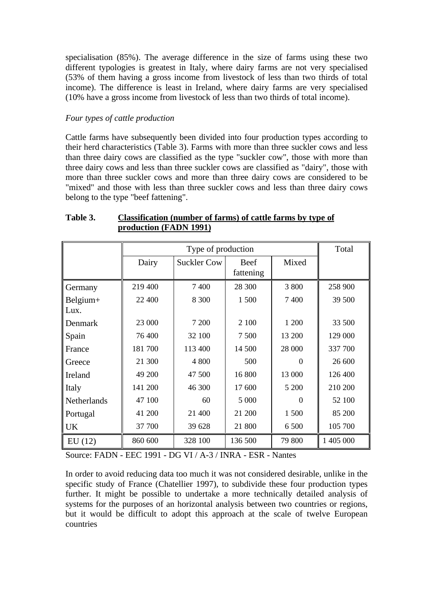specialisation (85%). The average difference in the size of farms using these two different typologies is greatest in Italy, where dairy farms are not very specialised (53% of them having a gross income from livestock of less than two thirds of total income). The difference is least in Ireland, where dairy farms are very specialised (10% have a gross income from livestock of less than two thirds of total income).

# *Four types of cattle production*

Cattle farms have subsequently been divided into four production types according to their herd characteristics (Table 3). Farms with more than three suckler cows and less than three dairy cows are classified as the type "suckler cow", those with more than three dairy cows and less than three suckler cows are classified as "dairy", those with more than three suckler cows and more than three dairy cows are considered to be "mixed" and those with less than three suckler cows and less than three dairy cows belong to the type "beef fattening".

|                  |         | Type of production |                          |          | Total     |
|------------------|---------|--------------------|--------------------------|----------|-----------|
|                  | Dairy   | <b>Suckler Cow</b> | <b>Beef</b><br>fattening | Mixed    |           |
| Germany          | 219 400 | 7400               | 28 300                   | 3 800    | 258 900   |
| Belgium+<br>Lux. | 22 400  | 8 3 0 0            | 1 500                    | 7 400    | 39 500    |
| Denmark          | 23 000  | 7 200              | 2 100                    | 1 200    | 33 500    |
| Spain            | 76 400  | 32 100             | 7 500                    | 13 200   | 129 000   |
| France           | 181700  | 113 400            | 14 500                   | 28 000   | 337 700   |
| Greece           | 21 300  | 4 800              | 500                      | $\Omega$ | 26 600    |
| Ireland          | 49 200  | 47 500             | 16 800                   | 13 000   | 126 400   |
| Italy            | 141 200 | 46 300             | 17 600                   | 5 200    | 210 200   |
| Netherlands      | 47 100  | 60                 | 5 000                    | $\Omega$ | 52 100    |
| Portugal         | 41 200  | 21 400             | 21 200                   | 1 500    | 85 200    |
| UK               | 37 700  | 39 628             | 21 800                   | 6 500    | 105 700   |
| EU(12)           | 860 600 | 328 100            | 136 500                  | 79 800   | 1 405 000 |

# **Table 3. Classification (number of farms) of cattle farms by type of production (FADN 1991)**

Source: FADN - EEC 1991 - DG VI / A-3 / INRA - ESR - Nantes

In order to avoid reducing data too much it was not considered desirable, unlike in the specific study of France (Chatellier 1997), to subdivide these four production types further. It might be possible to undertake a more technically detailed analysis of systems for the purposes of an horizontal analysis between two countries or regions, but it would be difficult to adopt this approach at the scale of twelve European countries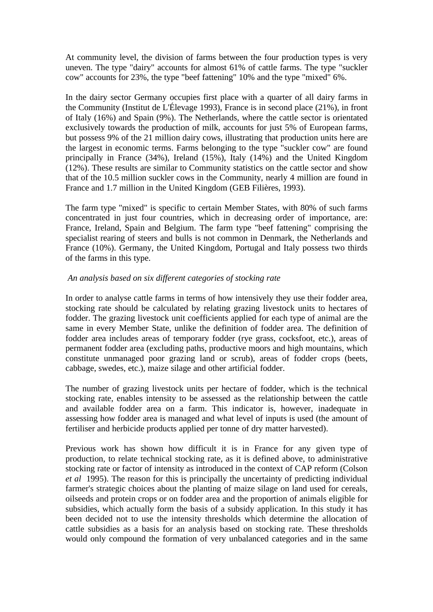At community level, the division of farms between the four production types is very uneven. The type "dairy" accounts for almost 61% of cattle farms. The type "suckler cow" accounts for 23%, the type "beef fattening" 10% and the type "mixed" 6%.

In the dairy sector Germany occupies first place with a quarter of all dairy farms in the Community (Institut de L'Élevage 1993), France is in second place (21%), in front of Italy (16%) and Spain (9%). The Netherlands, where the cattle sector is orientated exclusively towards the production of milk, accounts for just 5% of European farms, but possess 9% of the 21 million dairy cows, illustrating that production units here are the largest in economic terms. Farms belonging to the type "suckler cow" are found principally in France (34%), Ireland (15%), Italy (14%) and the United Kingdom (12%). These results are similar to Community statistics on the cattle sector and show that of the 10.5 million suckler cows in the Community, nearly 4 million are found in France and 1.7 million in the United Kingdom (GEB Filières, 1993).

The farm type "mixed" is specific to certain Member States, with 80% of such farms concentrated in just four countries, which in decreasing order of importance, are: France, Ireland, Spain and Belgium. The farm type "beef fattening" comprising the specialist rearing of steers and bulls is not common in Denmark, the Netherlands and France (10%). Germany, the United Kingdom, Portugal and Italy possess two thirds of the farms in this type.

## *An analysis based on six different categories of stocking rate*

In order to analyse cattle farms in terms of how intensively they use their fodder area, stocking rate should be calculated by relating grazing livestock units to hectares of fodder. The grazing livestock unit coefficients applied for each type of animal are the same in every Member State, unlike the definition of fodder area. The definition of fodder area includes areas of temporary fodder (rye grass, cocksfoot, etc.), areas of permanent fodder area (excluding paths, productive moors and high mountains, which constitute unmanaged poor grazing land or scrub), areas of fodder crops (beets, cabbage, swedes, etc.), maize silage and other artificial fodder.

The number of grazing livestock units per hectare of fodder, which is the technical stocking rate, enables intensity to be assessed as the relationship between the cattle and available fodder area on a farm. This indicator is, however, inadequate in assessing how fodder area is managed and what level of inputs is used (the amount of fertiliser and herbicide products applied per tonne of dry matter harvested).

Previous work has shown how difficult it is in France for any given type of production, to relate technical stocking rate, as it is defined above, to administrative stocking rate or factor of intensity as introduced in the context of CAP reform (Colson *et al* 1995). The reason for this is principally the uncertainty of predicting individual farmer's strategic choices about the planting of maize silage on land used for cereals, oilseeds and protein crops or on fodder area and the proportion of animals eligible for subsidies, which actually form the basis of a subsidy application. In this study it has been decided not to use the intensity thresholds which determine the allocation of cattle subsidies as a basis for an analysis based on stocking rate. These thresholds would only compound the formation of very unbalanced categories and in the same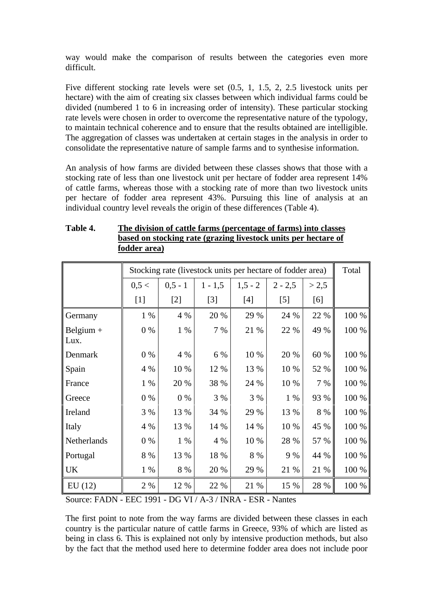way would make the comparison of results between the categories even more difficult.

Five different stocking rate levels were set (0.5, 1, 1.5, 2, 2.5 livestock units per hectare) with the aim of creating six classes between which individual farms could be divided (numbered 1 to 6 in increasing order of intensity). These particular stocking rate levels were chosen in order to overcome the representative nature of the typology, to maintain technical coherence and to ensure that the results obtained are intelligible. The aggregation of classes was undertaken at certain stages in the analysis in order to consolidate the representative nature of sample farms and to synthesise information.

An analysis of how farms are divided between these classes shows that those with a stocking rate of less than one livestock unit per hectare of fodder area represent 14% of cattle farms, whereas those with a stocking rate of more than two livestock units per hectare of fodder area represent 43%. Pursuing this line of analysis at an individual country level reveals the origin of these differences (Table 4).

|                     |       |            | Stocking rate (livestock units per hectare of fodder area) |           |           |       | Total |
|---------------------|-------|------------|------------------------------------------------------------|-----------|-----------|-------|-------|
|                     | 0,5 < | $0, 5 - 1$ | $1 - 1, 5$                                                 | $1,5 - 2$ | $2 - 2,5$ | > 2,5 |       |
|                     | $[1]$ | $[2]$      | $[3]$                                                      | $[4]$     | $[5]$     | [6]   |       |
| Germany             | $1\%$ | 4 %        | 20 %                                                       | 29 %      | 24 %      | 22 %  | 100 % |
| Belgium $+$<br>Lux. | $0\%$ | 1 %        | 7 %                                                        | 21 %      | 22 %      | 49 %  | 100 % |
| Denmark             | $0\%$ | 4 %        | 6 %                                                        | 10 %      | 20 %      | 60 %  | 100 % |
| Spain               | 4 %   | 10 %       | 12 %                                                       | 13 %      | 10 %      | 52 %  | 100 % |
| France              | 1 %   | 20 %       | 38 %                                                       | 24 %      | 10 %      | 7 %   | 100 % |
| Greece              | $0\%$ | $0\%$      | 3 %                                                        | 3%        | $1\%$     | 93 %  | 100 % |
| Ireland             | 3 %   | 13 %       | 34 %                                                       | 29 %      | 13 %      | 8 %   | 100 % |
| Italy               | 4 %   | 13 %       | 14 %                                                       | 14 %      | 10 %      | 45 %  | 100 % |
| Netherlands         | $0\%$ | 1 %        | 4 %                                                        | 10 %      | 28 %      | 57 %  | 100 % |
| Portugal            | 8 %   | 13 %       | 18 %                                                       | 8 %       | 9 %       | 44 %  | 100 % |
| <b>UK</b>           | $1\%$ | 8 %        | 20 %                                                       | 29 %      | 21 %      | 21 %  | 100 % |
| EU(12)              | 2 %   | 12 %       | 22 %                                                       | 21 %      | 15 %      | 28 %  | 100 % |

# **Table 4. The division of cattle farms (percentage of farms) into classes based on stocking rate (grazing livestock units per hectare of fodder area)**

Source: FADN - EEC 1991 - DG VI / A-3 / INRA - ESR - Nantes

The first point to note from the way farms are divided between these classes in each country is the particular nature of cattle farms in Greece, 93% of which are listed as being in class 6. This is explained not only by intensive production methods, but also by the fact that the method used here to determine fodder area does not include poor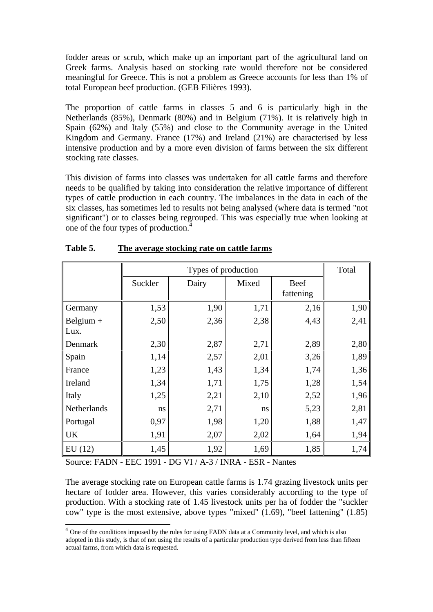fodder areas or scrub, which make up an important part of the agricultural land on Greek farms. Analysis based on stocking rate would therefore not be considered meaningful for Greece. This is not a problem as Greece accounts for less than 1% of total European beef production. (GEB Filières 1993).

The proportion of cattle farms in classes 5 and 6 is particularly high in the Netherlands (85%), Denmark (80%) and in Belgium (71%). It is relatively high in Spain (62%) and Italy (55%) and close to the Community average in the United Kingdom and Germany. France (17%) and Ireland (21%) are characterised by less intensive production and by a more even division of farms between the six different stocking rate classes.

This division of farms into classes was undertaken for all cattle farms and therefore needs to be qualified by taking into consideration the relative importance of different types of cattle production in each country. The imbalances in the data in each of the six classes, has sometimes led to results not being analysed (where data is termed "not significant") or to classes being regrouped. This was especially true when looking at one of the four types of production.<sup>4</sup>

|             |         | Types of production |       |                          | Total |
|-------------|---------|---------------------|-------|--------------------------|-------|
|             | Suckler | Dairy               | Mixed | <b>Beef</b><br>fattening |       |
| Germany     | 1,53    | 1,90                | 1,71  | 2,16                     | 1,90  |
| Belgium $+$ | 2,50    | 2,36                | 2,38  | 4,43                     | 2,41  |
| Lux.        |         |                     |       |                          |       |
| Denmark     | 2,30    | 2,87                | 2,71  | 2,89                     | 2,80  |
| Spain       | 1,14    | 2,57                | 2,01  | 3,26                     | 1,89  |
| France      | 1,23    | 1,43                | 1,34  | 1,74                     | 1,36  |
| Ireland     | 1,34    | 1,71                | 1,75  | 1,28                     | 1,54  |
| Italy       | 1,25    | 2,21                | 2,10  | 2,52                     | 1,96  |
| Netherlands | ns      | 2,71                | ns    | 5,23                     | 2,81  |
| Portugal    | 0,97    | 1,98                | 1,20  | 1,88                     | 1,47  |
| <b>UK</b>   | 1,91    | 2,07                | 2,02  | 1,64                     | 1,94  |
| EU(12)      | 1,45    | 1,92                | 1,69  | 1,85                     | 1,74  |

#### **Table 5. The average stocking rate on cattle farms**

Source: FADN - EEC 1991 - DG VI / A-3 / INRA - ESR - Nantes

 $\overline{a}$ 

The average stocking rate on European cattle farms is 1.74 grazing livestock units per hectare of fodder area. However, this varies considerably according to the type of production. With a stocking rate of 1.45 livestock units per ha of fodder the "suckler cow" type is the most extensive, above types "mixed" (1.69), "beef fattening" (1.85)

 $4$  One of the conditions imposed by the rules for using FADN data at a Community level, and which is also adopted in this study, is that of not using the results of a particular production type derived from less than fifteen actual farms, from which data is requested.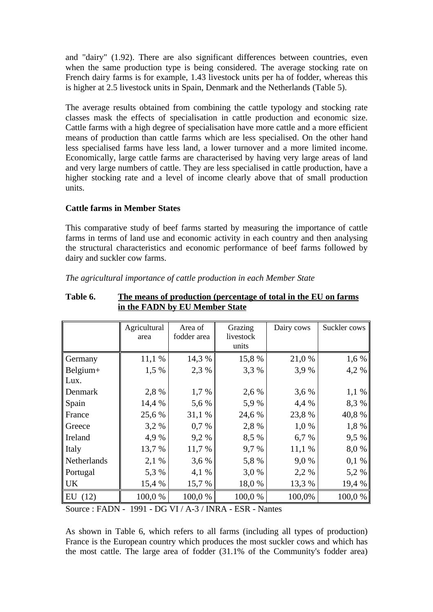and "dairy" (1.92). There are also significant differences between countries, even when the same production type is being considered. The average stocking rate on French dairy farms is for example, 1.43 livestock units per ha of fodder, whereas this is higher at 2.5 livestock units in Spain, Denmark and the Netherlands (Table 5).

The average results obtained from combining the cattle typology and stocking rate classes mask the effects of specialisation in cattle production and economic size. Cattle farms with a high degree of specialisation have more cattle and a more efficient means of production than cattle farms which are less specialised. On the other hand less specialised farms have less land, a lower turnover and a more limited income. Economically, large cattle farms are characterised by having very large areas of land and very large numbers of cattle. They are less specialised in cattle production, have a higher stocking rate and a level of income clearly above that of small production units.

# **Cattle farms in Member States**

This comparative study of beef farms started by measuring the importance of cattle farms in terms of land use and economic activity in each country and then analysing the structural characteristics and economic performance of beef farms followed by dairy and suckler cow farms.

|             | Agricultural<br>area | Area of<br>fodder area | Grazing<br>livestock<br>units | Dairy cows | Suckler cows |
|-------------|----------------------|------------------------|-------------------------------|------------|--------------|
| Germany     | 11,1 %               | 14,3 %                 | 15,8 %                        | 21,0 %     | 1,6 %        |
| Belgium+    | 1,5 %                | 2,3 %                  | 3,3 %                         | 3,9%       | 4,2%         |
| Lux.        |                      |                        |                               |            |              |
| Denmark     | 2,8 %                | 1,7 %                  | 2,6 %                         | 3,6 %      | $1,1\%$      |
| Spain       | 14,4 %               | 5,6 %                  | 5,9 %                         | 4,4 %      | 8,3 %        |
| France      | 25,6 %               | 31,1 %                 | 24,6 %                        | 23,8 %     | 40,8%        |
| Greece      | 3,2 %                | $0.7\%$                | 2,8 %                         | 1,0 %      | 1,8 %        |
| Ireland     | 4,9%                 | 9,2%                   | 8,5 %                         | 6,7 %      | 9,5 %        |
| Italy       | 13,7 %               | 11,7 %                 | 9,7 %                         | 11,1 %     | 8,0%         |
| Netherlands | 2,1 %                | 3,6 %                  | 5,8 %                         | 9,0%       | 0,1%         |
| Portugal    | 5,3 %                | 4,1%                   | 3,0 %                         | 2,2 %      | 5,2 %        |
| <b>UK</b>   | 15,4 %               | 15,7 %                 | 18,0%                         | 13,3 %     | 19,4 %       |
| EU(12)      | 100,0 %              | 100,0 %                | 100,0%                        | 100,0%     | 100,0%       |

#### *The agricultural importance of cattle production in each Member State*

**Table 6. The means of production (percentage of total in the EU on farms in the FADN by EU Member State**

Source : FADN - 1991 - DG VI / A-3 / INRA - ESR - Nantes

As shown in Table 6, which refers to all farms (including all types of production) France is the European country which produces the most suckler cows and which has the most cattle. The large area of fodder (31.1% of the Community's fodder area)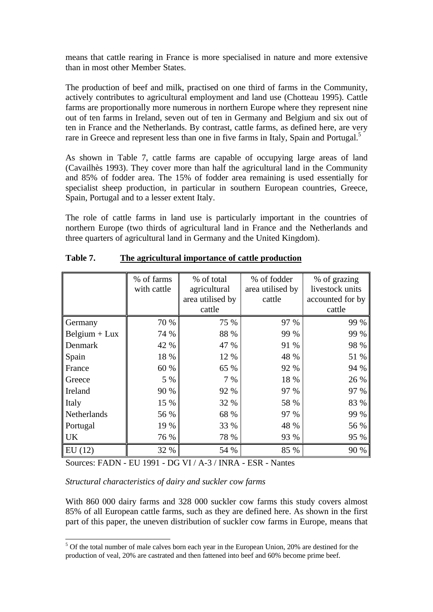means that cattle rearing in France is more specialised in nature and more extensive than in most other Member States.

The production of beef and milk, practised on one third of farms in the Community, actively contributes to agricultural employment and land use (Chotteau 1995). Cattle farms are proportionally more numerous in northern Europe where they represent nine out of ten farms in Ireland, seven out of ten in Germany and Belgium and six out of ten in France and the Netherlands. By contrast, cattle farms, as defined here, are very rare in Greece and represent less than one in five farms in Italy, Spain and Portugal.<sup>5</sup>

As shown in Table 7, cattle farms are capable of occupying large areas of land (Cavailhès 1993). They cover more than half the agricultural land in the Community and 85% of fodder area. The 15% of fodder area remaining is used essentially for specialist sheep production, in particular in southern European countries, Greece, Spain, Portugal and to a lesser extent Italy.

The role of cattle farms in land use is particularly important in the countries of northern Europe (two thirds of agricultural land in France and the Netherlands and three quarters of agricultural land in Germany and the United Kingdom).

|                 | % of farms  | % of total       | % of fodder      | % of grazing     |
|-----------------|-------------|------------------|------------------|------------------|
|                 | with cattle | agricultural     | area utilised by | livestock units  |
|                 |             | area utilised by | cattle           | accounted for by |
|                 |             | cattle           |                  | cattle           |
| Germany         | 70 %        | 75 %             | 97 %             | 99 %             |
| $Belgium + Lux$ | 74 %        | 88 %             | 99 %             | 99 %             |
| Denmark         | 42 %        | 47 %             | 91 %             | 98 %             |
| Spain           | 18 %        | 12 %             | 48 %             | 51 %             |
| France          | 60 %        | 65 %             | 92 %             | 94 %             |
| Greece          | 5 %         | 7 %              | 18 %             | 26 %             |
| Ireland         | 90 %        | 92 %             | 97 %             | 97 %             |
| Italy           | 15 %        | 32 %             | 58 %             | 83 %             |
| Netherlands     | 56 %        | 68 %             | 97 %             | 99 %             |
| Portugal        | 19 %        | <b>33</b> %      | 48 %             | 56 %             |
| UK              | 76 %        | 78 %             | 93 %             | 95 %             |
| EU(12)          | 32 %        | 54 %             | 85 %             | 90 %             |

**Table 7. The agricultural importance of cattle production**

Sources: FADN - EU 1991 - DG VI / A-3 / INRA - ESR - Nantes

*Structural characteristics of dairy and suckler cow farms*

With 860 000 dairy farms and 328 000 suckler cow farms this study covers almost 85% of all European cattle farms, such as they are defined here. As shown in the first part of this paper, the uneven distribution of suckler cow farms in Europe, means that

<sup>&</sup>lt;sup>5</sup> Of the total number of male calves born each year in the European Union, 20% are destined for the production of veal, 20% are castrated and then fattened into beef and 60% become prime beef.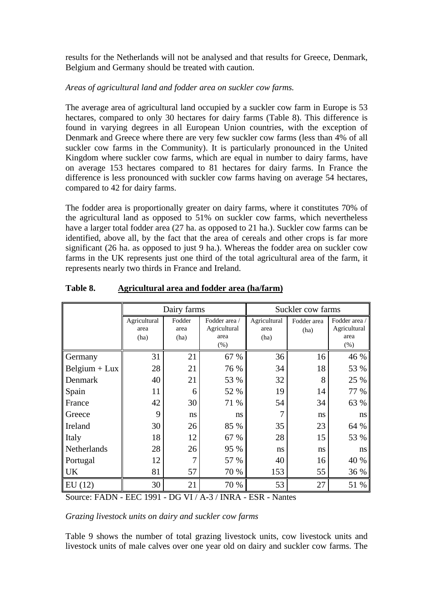results for the Netherlands will not be analysed and that results for Greece, Denmark, Belgium and Germany should be treated with caution.

# *Areas of agricultural land and fodder area on suckler cow farms.*

The average area of agricultural land occupied by a suckler cow farm in Europe is 53 hectares, compared to only 30 hectares for dairy farms (Table 8). This difference is found in varying degrees in all European Union countries, with the exception of Denmark and Greece where there are very few suckler cow farms (less than 4% of all suckler cow farms in the Community). It is particularly pronounced in the United Kingdom where suckler cow farms, which are equal in number to dairy farms, have on average 153 hectares compared to 81 hectares for dairy farms. In France the difference is less pronounced with suckler cow farms having on average 54 hectares, compared to 42 for dairy farms.

The fodder area is proportionally greater on dairy farms, where it constitutes 70% of the agricultural land as opposed to 51% on suckler cow farms, which nevertheless have a larger total fodder area (27 ha. as opposed to 21 ha.). Suckler cow farms can be identified, above all, by the fact that the area of cereals and other crops is far more significant (26 ha. as opposed to just 9 ha.). Whereas the fodder area on suckler cow farms in the UK represents just one third of the total agricultural area of the farm, it represents nearly two thirds in France and Ireland.

|                 |                      | Dairy farms    |                               | Suckler cow farms    |                     |                               |  |
|-----------------|----------------------|----------------|-------------------------------|----------------------|---------------------|-------------------------------|--|
|                 | Agricultural<br>area | Fodder<br>area | Fodder area /<br>Agricultural | Agricultural<br>area | Fodder area<br>(ha) | Fodder area /<br>Agricultural |  |
|                 | (ha)                 | (ha)           | area<br>$(\%)$                | (ha)                 |                     | area<br>$(\%)$                |  |
| Germany         | 31                   | 21             | 67 %                          | 36                   | 16                  | 46 %                          |  |
| $Belgium + Lux$ | 28                   | 21             | 76 %                          | 34                   | 18                  | 53 %                          |  |
| Denmark         | 40                   | 21             | 53 %                          | 32                   | 8                   | 25 %                          |  |
| Spain           | 11                   | 6              | 52 %                          | 19                   | 14                  | 77 %                          |  |
| France          | 42                   | 30             | 71 %                          | 54                   | 34                  | 63 %                          |  |
| Greece          | 9                    | ns             | ns                            | 7                    | ns                  | ns                            |  |
| Ireland         | 30                   | 26             | 85 %                          | 35                   | 23                  | 64 %                          |  |
| Italy           | 18                   | 12             | 67 %                          | 28                   | 15                  | 53 %                          |  |
| Netherlands     | 28                   | 26             | 95 %                          | ns                   | ns                  | ns                            |  |
| Portugal        | 12                   | 7              | 57 %                          | 40                   | 16                  | 40 %                          |  |
| <b>UK</b>       | 81                   | 57             | 70 %                          | 153                  | 55                  | 36 %                          |  |
| EU(12)          | 30                   | 21             | 70 %                          | 53                   | 27                  | 51 %                          |  |

# **Table 8. Agricultural area and fodder area (ha/farm)**

Source: FADN - EEC 1991 - DG VI / A-3 / INRA - ESR - Nantes

*Grazing livestock units on dairy and suckler cow farms*

Table 9 shows the number of total grazing livestock units, cow livestock units and livestock units of male calves over one year old on dairy and suckler cow farms. The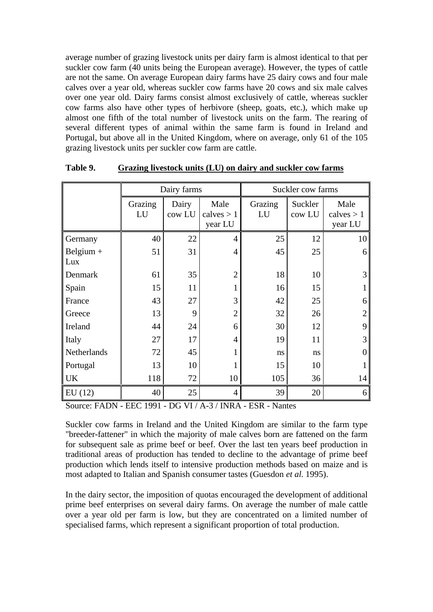average number of grazing livestock units per dairy farm is almost identical to that per suckler cow farm (40 units being the European average). However, the types of cattle are not the same. On average European dairy farms have 25 dairy cows and four male calves over a year old, whereas suckler cow farms have 20 cows and six male calves over one year old. Dairy farms consist almost exclusively of cattle, whereas suckler cow farms also have other types of herbivore (sheep, goats, etc.), which make up almost one fifth of the total number of livestock units on the farm. The rearing of several different types of animal within the same farm is found in Ireland and Portugal, but above all in the United Kingdom, where on average, only 61 of the 105 grazing livestock units per suckler cow farm are cattle.

|                    |               | Dairy farms     |                                 | Suckler cow farms |                   |                                 |
|--------------------|---------------|-----------------|---------------------------------|-------------------|-------------------|---------------------------------|
|                    | Grazing<br>LU | Dairy<br>cow LU | Male<br>calves $> 1$<br>year LU | Grazing<br>LU     | Suckler<br>cow LU | Male<br>calves $> 1$<br>year LU |
| Germany            | 40            | 22              | 4                               | 25                | 12                | 10                              |
| Belgium $+$<br>Lux | 51            | 31              | $\overline{4}$                  | 45                | 25                | 6                               |
| Denmark            | 61            | 35              | $\overline{2}$                  | 18                | 10                | 3                               |
| Spain              | 15            | 11              | 1                               | 16                | 15                |                                 |
| France             | 43            | 27              | 3                               | 42                | 25                | 6                               |
| Greece             | 13            | 9               | $\overline{2}$                  | 32                | 26                | $\overline{2}$                  |
| Ireland            | 44            | 24              | 6                               | 30                | 12                | 9                               |
| Italy              | 27            | 17              | $\overline{4}$                  | 19                | 11                | 3                               |
| Netherlands        | 72            | 45              | 1                               | ns                | ns                | $\Omega$                        |
| Portugal           | 13            | 10              | 1                               | 15                | 10                |                                 |
| <b>UK</b>          | 118           | 72              | 10                              | 105               | 36                | 14                              |
| EU(12)             | 40            | 25              | $\overline{4}$                  | 39                | 20                | 6                               |

**Table 9. Grazing livestock units (LU) on dairy and suckler cow farms**

Source: FADN - EEC 1991 - DG VI / A-3 / INRA - ESR - Nantes

Suckler cow farms in Ireland and the United Kingdom are similar to the farm type "breeder-fattener" in which the majority of male calves born are fattened on the farm for subsequent sale as prime beef or beef. Over the last ten years beef production in traditional areas of production has tended to decline to the advantage of prime beef production which lends itself to intensive production methods based on maize and is most adapted to Italian and Spanish consumer tastes (Guesdon *et al.* 1995).

In the dairy sector, the imposition of quotas encouraged the development of additional prime beef enterprises on several dairy farms. On average the number of male cattle over a year old per farm is low, but they are concentrated on a limited number of specialised farms, which represent a significant proportion of total production.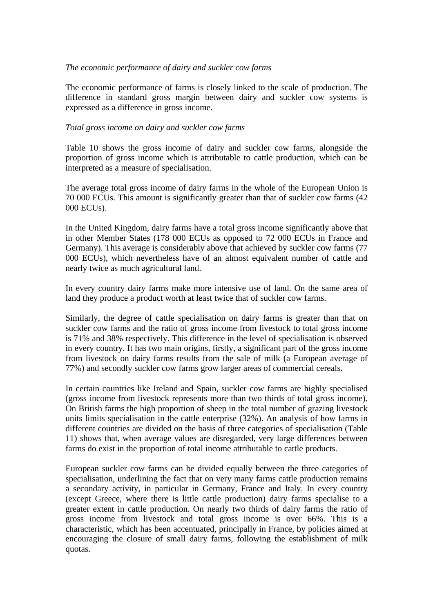## *The economic performance of dairy and suckler cow farms*

The economic performance of farms is closely linked to the scale of production. The difference in standard gross margin between dairy and suckler cow systems is expressed as a difference in gross income.

## *Total gross income on dairy and suckler cow farms*

Table 10 shows the gross income of dairy and suckler cow farms, alongside the proportion of gross income which is attributable to cattle production, which can be interpreted as a measure of specialisation.

The average total gross income of dairy farms in the whole of the European Union is 70 000 ECUs. This amount is significantly greater than that of suckler cow farms (42 000 ECUs).

In the United Kingdom, dairy farms have a total gross income significantly above that in other Member States (178 000 ECUs as opposed to 72 000 ECUs in France and Germany). This average is considerably above that achieved by suckler cow farms (77 000 ECUs), which nevertheless have of an almost equivalent number of cattle and nearly twice as much agricultural land.

In every country dairy farms make more intensive use of land. On the same area of land they produce a product worth at least twice that of suckler cow farms.

Similarly, the degree of cattle specialisation on dairy farms is greater than that on suckler cow farms and the ratio of gross income from livestock to total gross income is 71% and 38% respectively. This difference in the level of specialisation is observed in every country. It has two main origins, firstly, a significant part of the gross income from livestock on dairy farms results from the sale of milk (a European average of 77%) and secondly suckler cow farms grow larger areas of commercial cereals.

In certain countries like Ireland and Spain, suckler cow farms are highly specialised (gross income from livestock represents more than two thirds of total gross income). On British farms the high proportion of sheep in the total number of grazing livestock units limits specialisation in the cattle enterprise (32%). An analysis of how farms in different countries are divided on the basis of three categories of specialisation (Table 11) shows that, when average values are disregarded, very large differences between farms do exist in the proportion of total income attributable to cattle products.

European suckler cow farms can be divided equally between the three categories of specialisation, underlining the fact that on very many farms cattle production remains a secondary activity, in particular in Germany, France and Italy. In every country (except Greece, where there is little cattle production) dairy farms specialise to a greater extent in cattle production. On nearly two thirds of dairy farms the ratio of gross income from livestock and total gross income is over 66%. This is a characteristic, which has been accentuated, principally in France, by policies aimed at encouraging the closure of small dairy farms, following the establishment of milk quotas.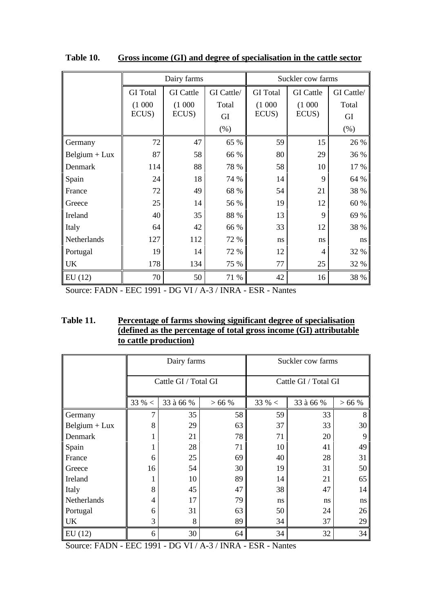|                 |                 | Dairy farms      |            | Suckler cow farms |                  |            |
|-----------------|-----------------|------------------|------------|-------------------|------------------|------------|
|                 | <b>GI</b> Total | <b>GI</b> Cattle | GI Cattle/ | <b>GI</b> Total   | <b>GI</b> Cattle | GI Cattle/ |
|                 | (1000)          | (1000)           | Total      | (1000)            | (1000)           | Total      |
|                 | ECUS)           | ECUS)            | GI         | ECUS)             | ECUS)            | GI         |
|                 |                 |                  | (% )       |                   |                  | (% )       |
| Germany         | 72              | 47               | 65 %       | 59                | 15               | 26 %       |
| $Belgium + Lux$ | 87              | 58               | 66 %       | 80                | 29               | 36 %       |
| Denmark         | 114             | 88               | 78 %       | 58                | 10               | 17 %       |
| Spain           | 24              | 18               | 74 %       | 14                | 9                | 64 %       |
| France          | 72              | 49               | 68 %       | 54                | 21               | 38 %       |
| Greece          | 25              | 14               | 56 %       | 19                | 12               | 60 %       |
| Ireland         | 40              | 35               | 88 %       | 13                | 9                | 69 %       |
| Italy           | 64              | 42               | 66 %       | 33                | 12               | 38 %       |
| Netherlands     | 127             | 112              | 72 %       | ns                | ns               | ns         |
| Portugal        | 19              | 14               | 72 %       | 12                | $\overline{4}$   | 32 %       |
| <b>UK</b>       | 178             | 134              | 75 %       | 77                | 25               | 32 %       |
| EU(12)          | 70              | 50               | 71 %       | 42                | 16               | 38 %       |

**Table 10. Gross income (GI) and degree of specialisation in the cattle sector**

Source: FADN - EEC 1991 - DG VI / A-3 / INRA - ESR - Nantes

| Table 11. | Percentage of farms showing significant degree of specialisation   |
|-----------|--------------------------------------------------------------------|
|           | (defined as the percentage of total gross income (GI) attributable |
|           | to cattle production)                                              |

|                 |                | Dairy farms          |      | Suckler cow farms    |           |      |  |
|-----------------|----------------|----------------------|------|----------------------|-----------|------|--|
|                 |                | Cattle GI / Total GI |      | Cattle GI / Total GI |           |      |  |
|                 | $33 \% <$      | 33 à 66 %            | >66% | $33 \% <$            | 33 à 66 % | >66% |  |
| Germany         | 7              | 35                   | 58   | 59                   | 33        | 8    |  |
| $Belgium + Lux$ | 8              | 29                   | 63   | 37                   | 33        | 30   |  |
| Denmark         |                | 21                   | 78   | 71                   | 20        | 9    |  |
| Spain           |                | 28                   | 71   | 10                   | 41        | 49   |  |
| France          | 6              | 25                   | 69   | 40                   | 28        | 31   |  |
| Greece          | 16             | 54                   | 30   | 19                   | 31        | 50   |  |
| Ireland         |                | 10                   | 89   | 14                   | 21        | 65   |  |
| Italy           | 8              | 45                   | 47   | 38                   | 47        | 14   |  |
| Netherlands     | $\overline{4}$ | 17                   | 79   | ns                   | ns        | ns   |  |
| Portugal        | 6              | 31                   | 63   | 50                   | 24        | 26   |  |
| <b>UK</b>       | 3              | 8                    | 89   | 34                   | 37        | 29   |  |
| EU(12)          | 6              | 30                   | 64   | 34                   | 32        | 34   |  |

Source: FADN - EEC 1991 - DG VI / A-3 / INRA - ESR - Nantes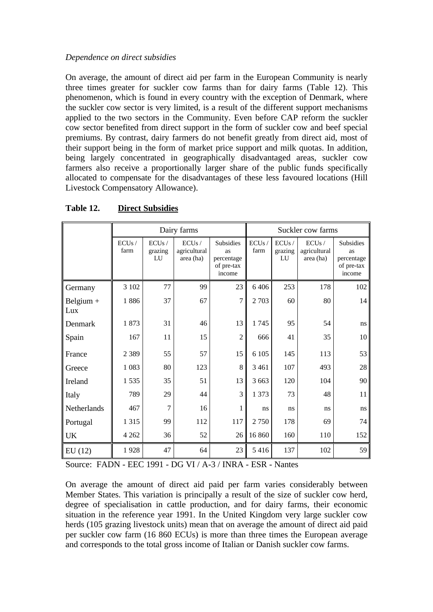# *Dependence on direct subsidies*

On average, the amount of direct aid per farm in the European Community is nearly three times greater for suckler cow farms than for dairy farms (Table 12). This phenomenon, which is found in every country with the exception of Denmark, where the suckler cow sector is very limited, is a result of the different support mechanisms applied to the two sectors in the Community. Even before CAP reform the suckler cow sector benefited from direct support in the form of suckler cow and beef special premiums. By contrast, dairy farmers do not benefit greatly from direct aid, most of their support being in the form of market price support and milk quotas. In addition, being largely concentrated in geographically disadvantaged areas, suckler cow farmers also receive a proportionally larger share of the public funds specifically allocated to compensate for the disadvantages of these less favoured locations (Hill Livestock Compensatory Allowance).

|                    | Dairy farms   |                        |                                    |                                                              |               | Suckler cow farms      |                                    |                                                              |  |
|--------------------|---------------|------------------------|------------------------------------|--------------------------------------------------------------|---------------|------------------------|------------------------------------|--------------------------------------------------------------|--|
|                    | ECUs/<br>farm | ECUs/<br>grazing<br>LU | ECUs/<br>agricultural<br>area (ha) | <b>Subsidies</b><br>as<br>percentage<br>of pre-tax<br>income | ECUs/<br>farm | ECUs/<br>grazing<br>LU | ECUs/<br>agricultural<br>area (ha) | <b>Subsidies</b><br>as<br>percentage<br>of pre-tax<br>income |  |
| Germany            | 3 10 2        | 77                     | 99                                 | 23                                                           | 6 4 0 6       | 253                    | 178                                | 102                                                          |  |
| Belgium $+$<br>Lux | 1886          | 37                     | 67                                 | $\overline{7}$                                               | 2 7 0 3       | 60                     | 80                                 | 14                                                           |  |
| Denmark            | 1873          | 31                     | 46                                 | 13                                                           | 1745          | 95                     | 54                                 | ns                                                           |  |
| Spain              | 167           | 11                     | 15                                 | $\overline{2}$                                               | 666           | 41                     | 35                                 | 10                                                           |  |
| France             | 2 3 8 9       | 55                     | 57                                 | 15                                                           | 6 1 0 5       | 145                    | 113                                | 53                                                           |  |
| Greece             | 1 0 8 3       | 80                     | 123                                | 8                                                            | 3 4 6 1       | 107                    | 493                                | $28\,$                                                       |  |
| Ireland            | 1535          | 35                     | 51                                 | 13                                                           | 3 6 6 3       | 120                    | 104                                | 90                                                           |  |
| Italy              | 789           | 29                     | 44                                 | 3                                                            | 1 3 7 3       | 73                     | 48                                 | 11                                                           |  |
| Netherlands        | 467           | $\overline{7}$         | 16                                 | 1                                                            | ns            | ns                     | ns                                 | ns                                                           |  |
| Portugal           | 1 3 1 5       | 99                     | 112                                | 117                                                          | 2 7 5 0       | 178                    | 69                                 | 74                                                           |  |
| <b>UK</b>          | 4 2 6 2       | 36                     | 52                                 | 26                                                           | 16 860        | 160                    | 110                                | 152                                                          |  |
| EU(12)             | 1928          | 47                     | 64                                 | 23                                                           | 5 4 1 6       | 137                    | 102                                | 59                                                           |  |

**Table 12. Direct Subsidies**

Source: FADN - EEC 1991 - DG VI / A-3 / INRA - ESR - Nantes

On average the amount of direct aid paid per farm varies considerably between Member States. This variation is principally a result of the size of suckler cow herd, degree of specialisation in cattle production, and for dairy farms, their economic situation in the reference year 1991. In the United Kingdom very large suckler cow herds (105 grazing livestock units) mean that on average the amount of direct aid paid per suckler cow farm (16 860 ECUs) is more than three times the European average and corresponds to the total gross income of Italian or Danish suckler cow farms.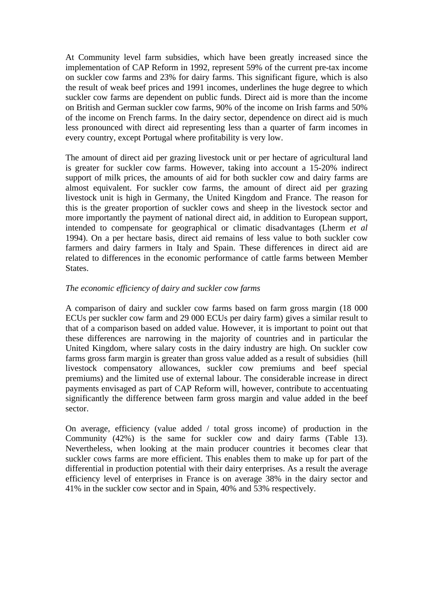At Community level farm subsidies, which have been greatly increased since the implementation of CAP Reform in 1992, represent 59% of the current pre-tax income on suckler cow farms and 23% for dairy farms. This significant figure, which is also the result of weak beef prices and 1991 incomes, underlines the huge degree to which suckler cow farms are dependent on public funds. Direct aid is more than the income on British and German suckler cow farms, 90% of the income on Irish farms and 50% of the income on French farms. In the dairy sector, dependence on direct aid is much less pronounced with direct aid representing less than a quarter of farm incomes in every country, except Portugal where profitability is very low.

The amount of direct aid per grazing livestock unit or per hectare of agricultural land is greater for suckler cow farms. However, taking into account a 15-20% indirect support of milk prices, the amounts of aid for both suckler cow and dairy farms are almost equivalent. For suckler cow farms, the amount of direct aid per grazing livestock unit is high in Germany, the United Kingdom and France. The reason for this is the greater proportion of suckler cows and sheep in the livestock sector and more importantly the payment of national direct aid, in addition to European support, intended to compensate for geographical or climatic disadvantages (Lherm *et al* 1994). On a per hectare basis, direct aid remains of less value to both suckler cow farmers and dairy farmers in Italy and Spain. These differences in direct aid are related to differences in the economic performance of cattle farms between Member States.

## *The economic efficiency of dairy and suckler cow farms*

A comparison of dairy and suckler cow farms based on farm gross margin (18 000 ECUs per suckler cow farm and 29 000 ECUs per dairy farm) gives a similar result to that of a comparison based on added value. However, it is important to point out that these differences are narrowing in the majority of countries and in particular the United Kingdom, where salary costs in the dairy industry are high. On suckler cow farms gross farm margin is greater than gross value added as a result of subsidies (hill livestock compensatory allowances, suckler cow premiums and beef special premiums) and the limited use of external labour. The considerable increase in direct payments envisaged as part of CAP Reform will, however, contribute to accentuating significantly the difference between farm gross margin and value added in the beef sector.

On average, efficiency (value added / total gross income) of production in the Community (42%) is the same for suckler cow and dairy farms (Table 13). Nevertheless, when looking at the main producer countries it becomes clear that suckler cows farms are more efficient. This enables them to make up for part of the differential in production potential with their dairy enterprises. As a result the average efficiency level of enterprises in France is on average 38% in the dairy sector and 41% in the suckler cow sector and in Spain, 40% and 53% respectively.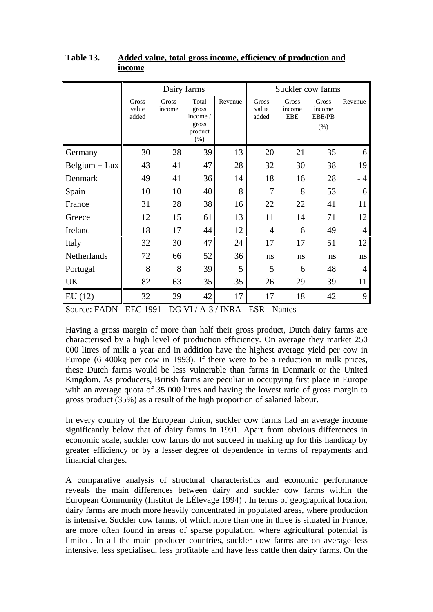|                 | Dairy farms             |                 |                           |         | Suckler cow farms       |                               |                           |         |
|-----------------|-------------------------|-----------------|---------------------------|---------|-------------------------|-------------------------------|---------------------------|---------|
|                 | Gross<br>value<br>added | Gross<br>income | Total<br>gross<br>income/ | Revenue | Gross<br>value<br>added | Gross<br>income<br><b>EBE</b> | Gross<br>income<br>EBE/PB | Revenue |
|                 |                         |                 | gross<br>product<br>(% )  |         |                         |                               | (% )                      |         |
| Germany         | 30                      | 28              | 39                        | 13      | 20                      | 21                            | 35                        | 6       |
| $Belgium + Lux$ | 43                      | 41              | 47                        | 28      | 32                      | 30                            | 38                        | 19      |
| Denmark         | 49                      | 41              | 36                        | 14      | 18                      | 16                            | 28                        | - 4     |
| Spain           | 10                      | 10              | 40                        | 8       | 7                       | 8                             | 53                        | 6       |
| France          | 31                      | 28              | 38                        | 16      | 22                      | 22                            | 41                        | 11      |
| Greece          | 12                      | 15              | 61                        | 13      | 11                      | 14                            | 71                        | 12      |
| Ireland         | 18                      | 17              | 44                        | 12      | $\overline{4}$          | 6                             | 49                        | 4       |
| Italy           | 32                      | 30              | 47                        | 24      | 17                      | 17                            | 51                        | 12      |
| Netherlands     | 72                      | 66              | 52                        | 36      | ns                      | ns                            | ns                        | ns      |
| Portugal        | 8                       | 8               | 39                        | 5       | 5                       | 6                             | 48                        | 4       |
| <b>UK</b>       | 82                      | 63              | 35                        | 35      | 26                      | 29                            | 39                        | 11      |
| EU(12)          | 32                      | 29              | 42                        | 17      | 17                      | 18                            | 42                        | 9       |

## **Table 13. Added value, total gross income, efficiency of production and income**

Source: FADN - EEC 1991 - DG VI / A-3 / INRA - ESR - Nantes

Having a gross margin of more than half their gross product, Dutch dairy farms are characterised by a high level of production efficiency. On average they market 250 000 litres of milk a year and in addition have the highest average yield per cow in Europe (6 400kg per cow in 1993). If there were to be a reduction in milk prices, these Dutch farms would be less vulnerable than farms in Denmark or the United Kingdom. As producers, British farms are peculiar in occupying first place in Europe with an average quota of 35 000 litres and having the lowest ratio of gross margin to gross product (35%) as a result of the high proportion of salaried labour.

In every country of the European Union, suckler cow farms had an average income significantly below that of dairy farms in 1991. Apart from obvious differences in economic scale, suckler cow farms do not succeed in making up for this handicap by greater efficiency or by a lesser degree of dependence in terms of repayments and financial charges.

A comparative analysis of structural characteristics and economic performance reveals the main differences between dairy and suckler cow farms within the European Community (Institut de LÉlevage 1994) . In terms of geographical location, dairy farms are much more heavily concentrated in populated areas, where production is intensive. Suckler cow farms, of which more than one in three is situated in France, are more often found in areas of sparse population, where agricultural potential is limited. In all the main producer countries, suckler cow farms are on average less intensive, less specialised, less profitable and have less cattle then dairy farms. On the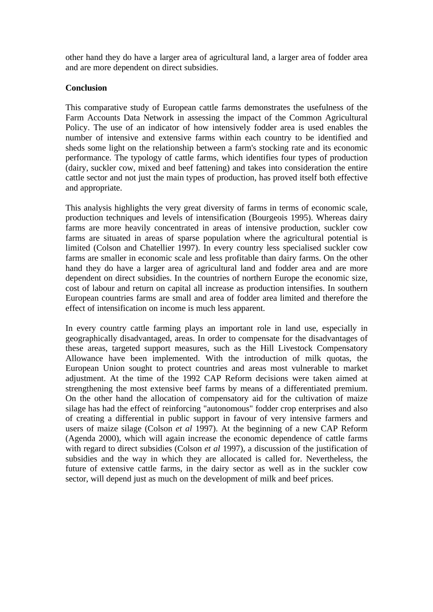other hand they do have a larger area of agricultural land, a larger area of fodder area and are more dependent on direct subsidies.

## **Conclusion**

This comparative study of European cattle farms demonstrates the usefulness of the Farm Accounts Data Network in assessing the impact of the Common Agricultural Policy. The use of an indicator of how intensively fodder area is used enables the number of intensive and extensive farms within each country to be identified and sheds some light on the relationship between a farm's stocking rate and its economic performance. The typology of cattle farms, which identifies four types of production (dairy, suckler cow, mixed and beef fattening) and takes into consideration the entire cattle sector and not just the main types of production, has proved itself both effective and appropriate.

This analysis highlights the very great diversity of farms in terms of economic scale, production techniques and levels of intensification (Bourgeois 1995). Whereas dairy farms are more heavily concentrated in areas of intensive production, suckler cow farms are situated in areas of sparse population where the agricultural potential is limited (Colson and Chatellier 1997). In every country less specialised suckler cow farms are smaller in economic scale and less profitable than dairy farms. On the other hand they do have a larger area of agricultural land and fodder area and are more dependent on direct subsidies. In the countries of northern Europe the economic size, cost of labour and return on capital all increase as production intensifies. In southern European countries farms are small and area of fodder area limited and therefore the effect of intensification on income is much less apparent.

In every country cattle farming plays an important role in land use, especially in geographically disadvantaged, areas. In order to compensate for the disadvantages of these areas, targeted support measures, such as the Hill Livestock Compensatory Allowance have been implemented. With the introduction of milk quotas, the European Union sought to protect countries and areas most vulnerable to market adjustment. At the time of the 1992 CAP Reform decisions were taken aimed at strengthening the most extensive beef farms by means of a differentiated premium. On the other hand the allocation of compensatory aid for the cultivation of maize silage has had the effect of reinforcing "autonomous" fodder crop enterprises and also of creating a differential in public support in favour of very intensive farmers and users of maize silage (Colson *et al* 1997). At the beginning of a new CAP Reform (Agenda 2000), which will again increase the economic dependence of cattle farms with regard to direct subsidies (Colson *et al* 1997), a discussion of the justification of subsidies and the way in which they are allocated is called for. Nevertheless, the future of extensive cattle farms, in the dairy sector as well as in the suckler cow sector, will depend just as much on the development of milk and beef prices.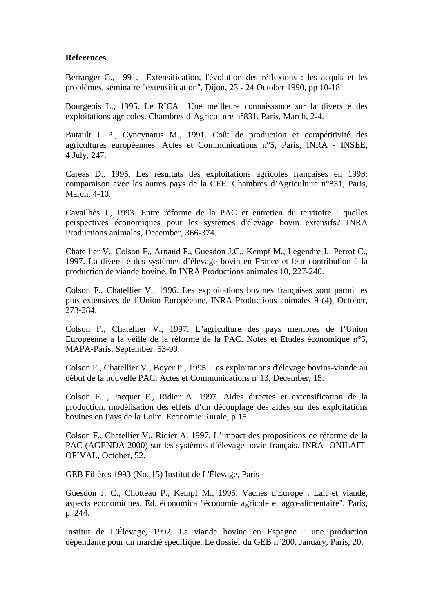## **References**

Berranger C., 1991. Extensification, l'évolution des réflexions : les acquis et les problèmes, séminaire "extensification", Dijon, 23 - 24 October 1990, pp 10-18.

Bourgeois L., 1995. Le RICA Une meilleure connaissance sur la diversité des exploitations agricoles. Chambres d'Agriculture n°831, Paris, March, 2-4.

Butault J. P., Cyncynatus M., 1991. Coût de production et compétitivité des agricultures européennes. Actes et Communications n°5, Paris, INRA - INSEE, 4 July, 247.

Careas D., 1995. Les résultats des exploitations agricoles françaises en 1993: comparaison avec les autres pays de la CEE. Chambres d'Agriculture n°831, Paris, March, 4-10.

Cavailhès J., 1993. Entre réforme de la PAC et entretien du territoire : quelles perspectives économiques pour les systèmes d'élevage bovin extensifs? INRA Productions animales, December, 366-374.

Chatellier V., Colson F., Arnaud F., Guesdon J.C., Kempf M., Legendre J., Perrot C., 1997. La diversité des systèmes d'élevage bovin en France et leur contribution à la production de viande bovine. In INRA Productions animales 10, 227-240.

Colson F., Chatellier V., 1996. Les exploitations bovines françaises sont parmi les plus extensives de l'Union Européenne. INRA Productions animales 9 (4), October, 273-284.

Colson F., Chatellier V., 1997. L'agriculture des pays membres de l'Union Européenne à la veille de la réforme de la PAC. Notes et Etudes économique n°5, MAPA-Paris, September, 53-99.

Colson F., Chatellier V., Boyer P., 1995. Les exploitations d'élevage bovins-viande au début de la nouvelle PAC. Actes et Communications n°13, December, 15.

Colson F. , Jacquet F., Ridier A. 1997. Aides directes et extensification de la production, modélisation des effets d'un découplage des aides sur des exploitations bovines en Pays de la Loire. Economie Rurale, p.15.

Colson F., Chatellier V., Ridier A. 1997. L'impact des propositions de réforme de la PAC (AGENDA 2000) sur les systèmes d'élevage bovin français. INRA -ONILAIT-OFIVAL, October, 52.

GEB Filières 1993 (No. 15) Institut de L'Élevage, Paris

Guesdon J. C., Chotteau P., Kempf M., 1995. Vaches d'Europe : Lait et viande, aspects économiques. Ed. économica "économie agricole et agro-alimentaire", Paris, p. 244.

Institut de L'Élevage, 1992. La viande bovine en Espagne : une production dépendante pour un marché spécifique. Le dossier du GEB n°200, January, Paris, 20.